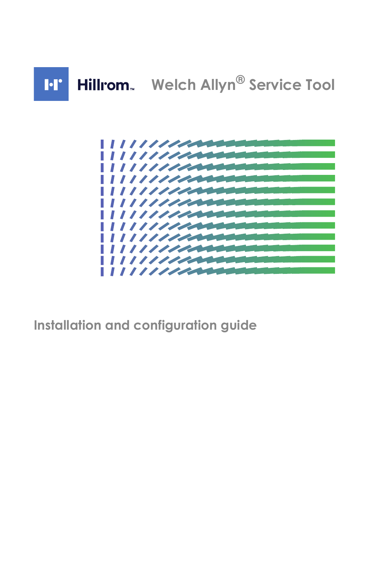



**Installation and configuration guide**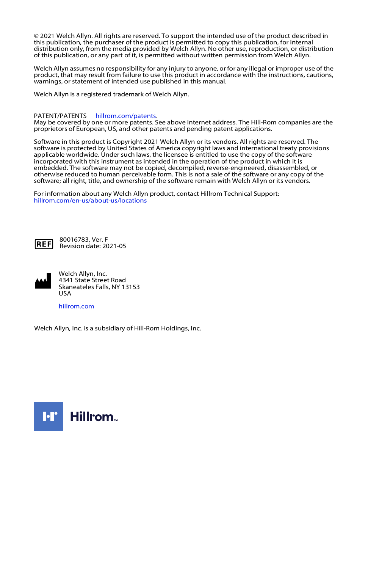© 2021 Welch Allyn. All rights are reserved. To support the intended use of the product described in this publication, the purchaser of the product is permitted to copy this publication, for internal distribution only, from the media provided by Welch Allyn. No other use, reproduction, or distribution of this publication, or any part of it, is permitted without written permission from Welch Allyn.

Welch Allyn assumes no responsibility for any injury to anyone, or for any illegal or improper use of the product, that may result from failure to use this product in accordance with the instructions, cautions, warnings, or statement of intended use published in this manual.

Welch Allyn is a registered trademark of Welch Allyn.

#### PATENT/PATENTS [hillrom.com/patents](http://www.hillrom.com/patents).

May be covered by one or more patents. See above Internet address. The Hill-Rom companies are the proprietors of European, US, and other patents and pending patent applications.

Software in this product is Copyright 2021 Welch Allyn or its vendors. All rights are reserved. The software is protected by United States of America copyright laws and international treaty provisions applicable worldwide. Under such laws, the licensee is entitled to use the copy of the software incorporated with this instrument as intended in the operation of the product in which it is embedded. The software may not be copied, decompiled, reverse-engineered, disassembled, or otherwise reduced to human perceivable form. This is not a sale of the software or any copy of the software; all right, title, and ownership of the software remain with Welch Allyn or its vendors.

For information about any Welch Allyn product, contact Hillrom Technical Support: [hillrom.com/en-us/about-us/locations](http://www.hillrom.com/en-us/about-us/locations)



80016783, Ver. F Revision date: 2021-05



Welch Allyn, Inc. 4341 State Street Road Skaneateles Falls, NY 13153 USA

#### [hillrom.com](http://www.hillrom.com)

Welch Allyn, Inc. is a subsidiary of Hill-Rom Holdings, Inc.

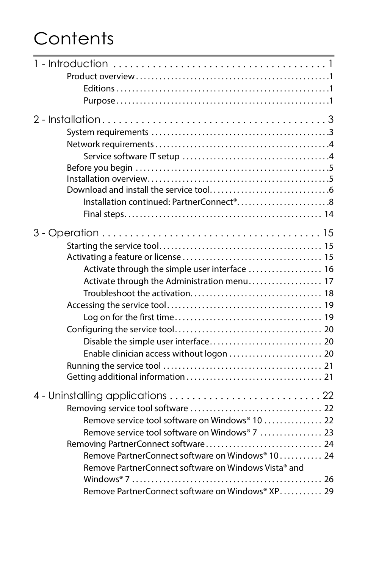# **Contents**

| Installation continued: PartnerConnect <sup>®</sup> 8 |  |
|-------------------------------------------------------|--|
|                                                       |  |
|                                                       |  |
|                                                       |  |
|                                                       |  |
| Activate through the simple user interface  16        |  |
| Activate through the Administration menu 17           |  |
|                                                       |  |
|                                                       |  |
|                                                       |  |
|                                                       |  |
|                                                       |  |
|                                                       |  |
|                                                       |  |
|                                                       |  |
|                                                       |  |
|                                                       |  |
| Remove service tool software on Windows® 10  22       |  |
| Remove service tool software on Windows® 7  23        |  |
| Removing PartnerConnect software 24                   |  |
| Remove PartnerConnect software on Windows® 10 24      |  |
| Remove PartnerConnect software on Windows Vista® and  |  |
|                                                       |  |
| Remove PartnerConnect software on Windows® XP 29      |  |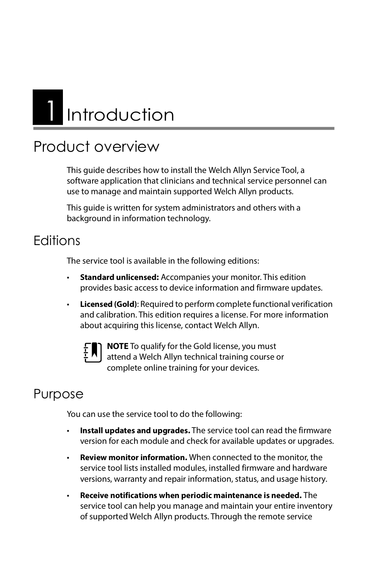# <span id="page-5-0"></span>Introduction

## <span id="page-5-1"></span>Product overview

This guide describes how to install the Welch Allyn Service Tool, a software application that clinicians and technical service personnel can use to manage and maintain supported Welch Allyn products.

This guide is written for system administrators and others with a background in information technology.

#### <span id="page-5-2"></span>**Editions**

The service tool is available in the following editions:

- **Standard unlicensed:** Accompanies your monitor. This edition provides basic access to device information and firmware updates.
- **Licensed (Gold)**: Required to perform complete functional verification and calibration. This edition requires a license. For more information about acquiring this license, contact Welch Allyn.



**NOTE** To qualify for the Gold license, you must attend a Welch Allyn technical training course or complete online training for your devices.

### <span id="page-5-3"></span>Purpose

You can use the service tool to do the following:

- **Install updates and upgrades.** The service tool can read the firmware version for each module and check for available updates or upgrades.
- **Review monitor information.** When connected to the monitor, the service tool lists installed modules, installed firmware and hardware versions, warranty and repair information, status, and usage history.
- **Receive notifications when periodic maintenance is needed.** The service tool can help you manage and maintain your entire inventory of supported Welch Allyn products. Through the remote service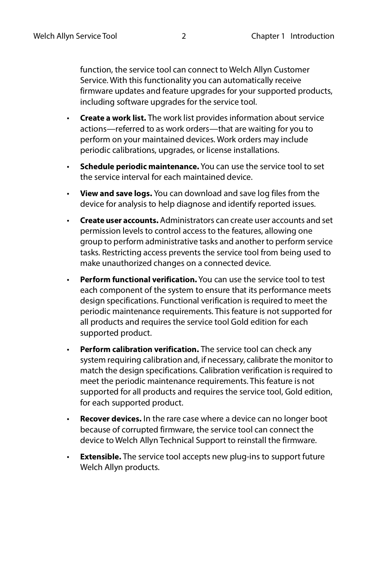function, the service tool can connect to Welch Allyn Customer Service. With this functionality you can automatically receive firmware updates and feature upgrades for your supported products, including software upgrades for the service tool.

- **Create a work list.** The work list provides information about service actions—referred to as work orders—that are waiting for you to perform on your maintained devices. Work orders may include periodic calibrations, upgrades, or license installations.
- **Schedule periodic maintenance.** You can use the service tool to set the service interval for each maintained device.
- **View and save logs.** You can download and save log files from the device for analysis to help diagnose and identify reported issues.
- **Create user accounts.** Administrators can create user accounts and set permission levels to control access to the features, allowing one group to perform administrative tasks and another to perform service tasks. Restricting access prevents the service tool from being used to make unauthorized changes on a connected device.
- **Perform functional verification.** You can use the service tool to test each component of the system to ensure that its performance meets design specifications. Functional verification is required to meet the periodic maintenance requirements. This feature is not supported for all products and requires the service tool Gold edition for each supported product.
- **Perform calibration verification.** The service tool can check any system requiring calibration and, if necessary, calibrate the monitor to match the design specifications. Calibration verification is required to meet the periodic maintenance requirements. This feature is not supported for all products and requires the service tool, Gold edition, for each supported product.
- **Recover devices.** In the rare case where a device can no longer boot because of corrupted firmware, the service tool can connect the device to Welch Allyn Technical Support to reinstall the firmware.
- **Extensible.** The service tool accepts new plug-ins to support future Welch Allyn products.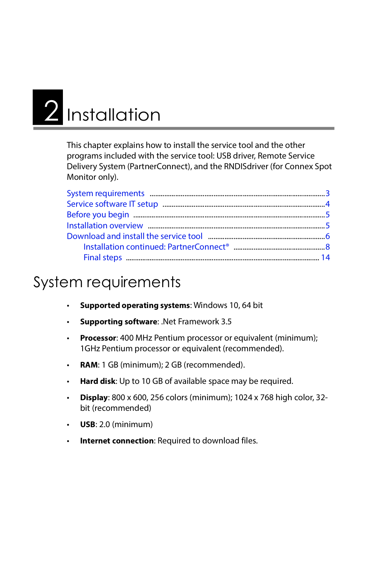# <span id="page-7-0"></span>2 Installation

This chapter explains how to install the service tool and the other programs included with the service tool: USB driver, Remote Service Delivery System (PartnerConnect), and the RNDISdriver (for Connex Spot Monitor only).

## <span id="page-7-1"></span>System requirements

- **Supported operating systems**: Windows 10, 64 bit
- **Supporting software**: .Net Framework 3.5
- **Processor**: 400 MHz Pentium processor or equivalent (minimum); 1GHz Pentium processor or equivalent (recommended).
- **RAM**: 1 GB (minimum); 2 GB (recommended).
- **Hard disk**: Up to 10 GB of available space may be required.
- **Display**: 800 x 600, 256 colors (minimum); 1024 x 768 high color, 32 bit (recommended)
- **USB**: 2.0 (minimum)
- **Internet connection**: Required to download files.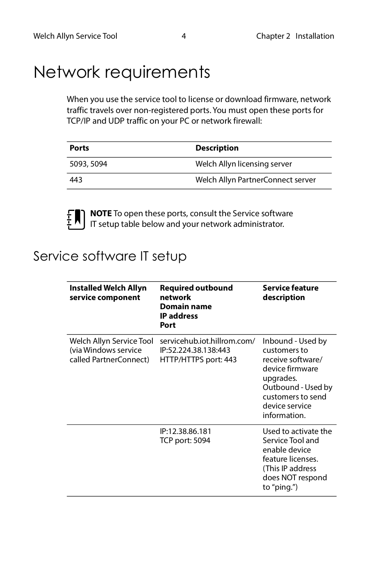## <span id="page-8-2"></span><span id="page-8-0"></span>Network requirements

When you use the service tool to license or download firmware, network traffic travels over non-registered ports. You must open these ports for TCP/IP and UDP traffic on your PC or network firewall:

| <b>Ports</b> | <b>Description</b>                |
|--------------|-----------------------------------|
| 5093, 5094   | Welch Allyn licensing server      |
| 443          | Welch Allyn PartnerConnect server |



**NOTE** To open these ports, consult the Service software IT setup table below and your network administrator.

#### <span id="page-8-1"></span>Service software IT setup

| <b>Installed Welch Allyn</b><br>service component                           | <b>Required outbound</b><br>network<br><b>Domain name</b><br><b>IP</b> address<br>Port | Service feature<br>description                                                                                                                                      |
|-----------------------------------------------------------------------------|----------------------------------------------------------------------------------------|---------------------------------------------------------------------------------------------------------------------------------------------------------------------|
| Welch Allyn Service Tool<br>(via Windows service)<br>called PartnerConnect) | servicehub.iot.hillrom.com/<br>IP:52.224.38.138:443<br>HTTP/HTTPS port: 443            | Inbound - Used by<br>customers to<br>receive software/<br>device firmware<br>upgrades.<br>Outbound - Used by<br>customers to send<br>device service<br>information. |
|                                                                             | IP:12.38.86.181<br><b>TCP port: 5094</b>                                               | Used to activate the<br>Service Tool and<br>enable device<br>feature licenses.<br>(This IP address<br>does NOT respond<br>to "ping.")                               |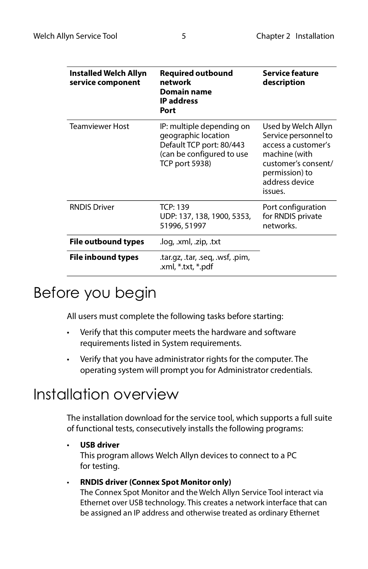| Installed Welch Allyn<br>service component | <b>Required outbound</b><br>network<br><b>Domain name</b><br><b>IP</b> address<br>Port                                             | Service feature<br>description                                                                                                                            |
|--------------------------------------------|------------------------------------------------------------------------------------------------------------------------------------|-----------------------------------------------------------------------------------------------------------------------------------------------------------|
| <b>Teamviewer Host</b>                     | IP: multiple depending on<br>geographic location<br>Default TCP port: 80/443<br>(can be configured to use<br><b>TCP port 5938)</b> | Used by Welch Allyn<br>Service personnel to<br>access a customer's<br>machine (with<br>customer's consent/<br>permission) to<br>address device<br>issues. |
| <b>RNDIS Driver</b>                        | TCP: 139<br>UDP: 137, 138, 1900, 5353,<br>51996, 51997                                                                             | Port configuration<br>for RNDIS private<br>networks.                                                                                                      |
| <b>File outbound types</b>                 | .log, .xml, .zip, .txt                                                                                                             |                                                                                                                                                           |
| File inbound types                         | .tar.qz, .tar, .seq, .wsf, .pim,<br>.xml, *.txt, *.pdf                                                                             |                                                                                                                                                           |

### <span id="page-9-0"></span>Before you begin

All users must complete the following tasks before starting:

- Verify that this computer meets the hardware and software requirements listed in System requirements.
- Verify that you have administrator rights for the computer. The operating system will prompt you for Administrator credentials.

## <span id="page-9-1"></span>Installation overview

The installation download for the service tool, which supports a full suite of functional tests, consecutively installs the following programs:

• **USB driver**

This program allows Welch Allyn devices to connect to a PC for testing.

#### • **RNDIS driver (Connex Spot Monitor only)**

The Connex Spot Monitor and the Welch Allyn Service Tool interact via Ethernet over USB technology. This creates a network interface that can be assigned an IP address and otherwise treated as ordinary Ethernet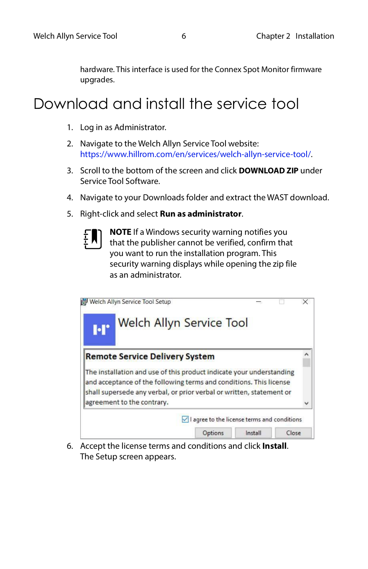hardware. This interface is used for the Connex Spot Monitor firmware upgrades.

## <span id="page-10-0"></span>Download and install the service tool

- 1. Log in as Administrator.
- 2. Navigate to the Welch Allyn Service Tool website: [https://www.hillrom.com/en/services/welch-allyn-service-tool/.](https://www.hillrom.com/en/services/welch-allyn-service-tool/)
- 3. Scroll to the bottom of the screen and click **DOWNLOAD ZIP** under Service Tool Software.
- 4. Navigate to your Downloads folder and extract the WAST download.
- 5. Right-click and select **Run as administrator**.
	- **NOTE** If a Windows security warning notifies you that the publisher cannot be verified, confirm that you want to run the installation program. This security warning displays while opening the zip file as an administrator.

| <b>M</b> | Welch Allyn Service Tool Setup<br><b>Welch Allyn Service Tool</b>                                                                                                                                                                                |  |                                                       |  |
|----------|--------------------------------------------------------------------------------------------------------------------------------------------------------------------------------------------------------------------------------------------------|--|-------------------------------------------------------|--|
|          | <b>Remote Service Delivery System</b>                                                                                                                                                                                                            |  |                                                       |  |
|          | The installation and use of this product indicate your understanding<br>and acceptance of the following terms and conditions. This license<br>shall supersede any verbal, or prior verbal or written, statement or<br>agreement to the contrary. |  |                                                       |  |
|          |                                                                                                                                                                                                                                                  |  | $\sqrt{}$ I agree to the license terms and conditions |  |
|          |                                                                                                                                                                                                                                                  |  |                                                       |  |

6. Accept the license terms and conditions and click **Install**. The Setup screen appears.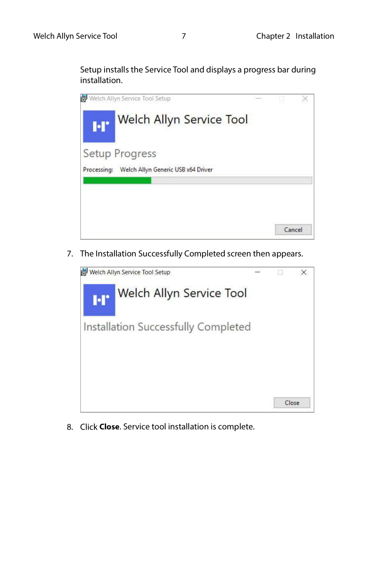Setup installs the Service Tool and displays a progress bar during installation.



7. The Installation Successfully Completed screen then appears.



8. Click **Close**. Service tool installation is complete.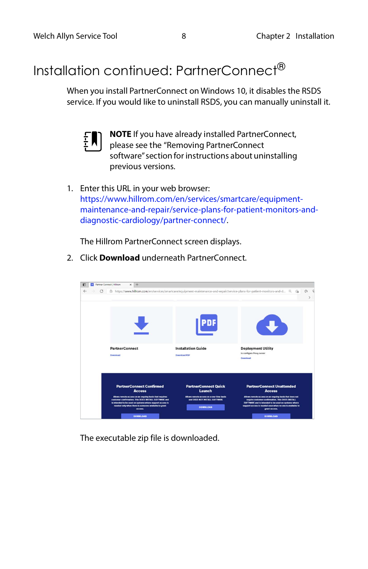### <span id="page-12-0"></span>Installation continued: PartnerConnect®

When you install PartnerConnect on Windows 10, it disables the RSDS service. If you would like to uninstall RSDS, you can manually uninstall it.



**NOTE** If you have already installed PartnerConnect, please see the "Removing PartnerConnect software" section for instructions about uninstalling previous versions.

1. Enter this URL in your web browser: [https://www.hillrom.com/en/services/smartcare/equipment](https://www.hillrom.com/en/services/smartcare/equipment-maintenance-and-repair/service-plans-for-patient-monitors-and-diagnostic-cardiology/partner-connect/)[maintenance-and-repair/service-plans-for-patient-monitors-and](https://www.hillrom.com/en/services/smartcare/equipment-maintenance-and-repair/service-plans-for-patient-monitors-and-diagnostic-cardiology/partner-connect/)[diagnostic-cardiology/partner-connect/.](https://www.hillrom.com/en/services/smartcare/equipment-maintenance-and-repair/service-plans-for-patient-monitors-and-diagnostic-cardiology/partner-connect/)

The Hillrom PartnerConnect screen displays.

2. Click **Download** underneath PartnerConnect.



The executable zip file is downloaded.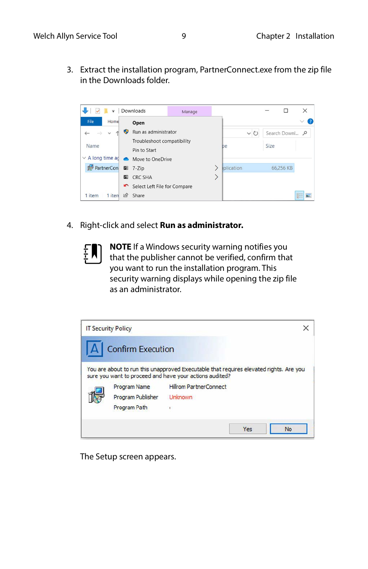3. Extract the installation program, PartnerConnect.exe from the zip file in the Downloads folder.



4. Right-click and select **Run as administrator.**

**NOTE** If a Windows security warning notifies you that the publisher cannot be verified, confirm that you want to run the installation program. This security warning displays while opening the zip file as an administrator.



The Setup screen appears.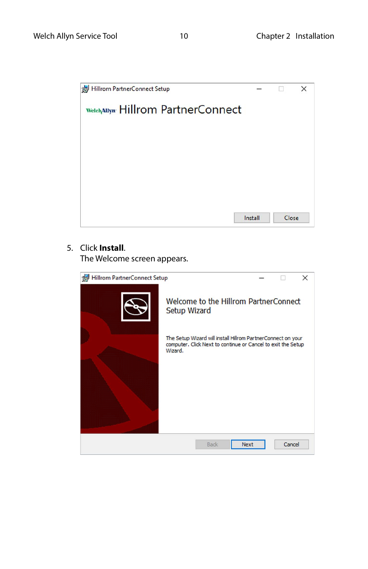

#### 5. Click **Install**.

The Welcome screen appears.

| Hillrom PartnerConnect Setup |                                                                                                                                         |        | $\times$ |
|------------------------------|-----------------------------------------------------------------------------------------------------------------------------------------|--------|----------|
|                              | Welcome to the Hillrom PartnerConnect<br>Setup Wizard                                                                                   |        |          |
|                              | The Setup Wizard will install Hillrom PartnerConnect on your<br>computer. Click Next to continue or Cancel to exit the Setup<br>Wizard. |        |          |
|                              | Back<br><b>Next</b>                                                                                                                     | Cancel |          |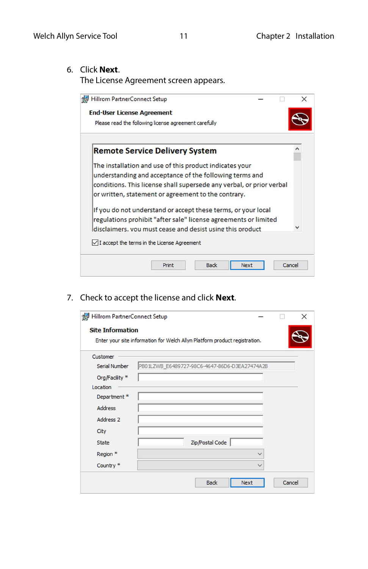6. Click **Next**.

The License Agreement screen appears.

| Hillrom PartnerConnect Setup                                                                                                                                                                                                                      |       |             |      |        |   |
|---------------------------------------------------------------------------------------------------------------------------------------------------------------------------------------------------------------------------------------------------|-------|-------------|------|--------|---|
| <b>End-User License Agreement</b>                                                                                                                                                                                                                 |       |             |      |        |   |
| Please read the following license agreement carefully                                                                                                                                                                                             |       |             |      |        |   |
| <b>Remote Service Delivery System</b>                                                                                                                                                                                                             |       |             |      |        | ^ |
| The installation and use of this product indicates your<br>understanding and acceptance of the following terms and<br>conditions. This license shall supersede any verbal, or prior verbal<br>or written, statement or agreement to the contrary. |       |             |      |        |   |
| If you do not understand or accept these terms, or your local<br>regulations prohibit "after sale" license agreements or limited<br>disclaimers, you must cease and desist using this product                                                     |       |             |      |        |   |
| $\sqrt{}$ I accept the terms in the License Agreement                                                                                                                                                                                             |       |             |      |        |   |
|                                                                                                                                                                                                                                                   | Print | <b>Back</b> | Next | Cancel |   |

7. Check to accept the license and click **Next**.

| <b>Site Information</b> | Enter your site information for Welch Allyn Platform product registration. |  |
|-------------------------|----------------------------------------------------------------------------|--|
| Customer                |                                                                            |  |
| <b>Serial Number</b>    | PB01LZWB_E6489727-98C6-4647-86D6-D3EA27474A2B                              |  |
| Org/Facility *          |                                                                            |  |
| Location                |                                                                            |  |
| Department*             |                                                                            |  |
| <b>Address</b>          |                                                                            |  |
| Address <sub>2</sub>    |                                                                            |  |
| City                    |                                                                            |  |
| State                   | Zip/Postal Code                                                            |  |
| Region *                |                                                                            |  |
| Country <sup>*</sup>    |                                                                            |  |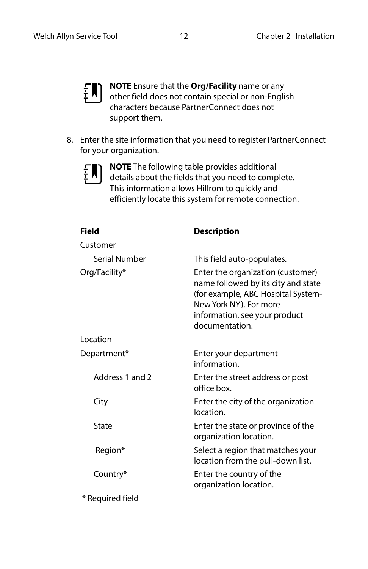

**NOTE** Ensure that the **Org/Facility** name or any other field does not contain special or non-English characters because PartnerConnect does not support them.

8. Enter the site information that you need to register PartnerConnect for your organization.



**NOTE** The following table provides additional details about the fields that you need to complete. This information allows Hillrom to quickly and efficiently locate this system for remote connection.

| <b>Field</b>     | <b>Description</b>                                                                                                                                                                          |
|------------------|---------------------------------------------------------------------------------------------------------------------------------------------------------------------------------------------|
| Customer         |                                                                                                                                                                                             |
| Serial Number    | This field auto-populates.                                                                                                                                                                  |
| Org/Facility*    | Enter the organization (customer)<br>name followed by its city and state<br>(for example, ABC Hospital System-<br>New York NY). For more<br>information, see your product<br>documentation. |
| Location         |                                                                                                                                                                                             |
| Department*      | Enter your department<br>information.                                                                                                                                                       |
| Address 1 and 2  | Enter the street address or post<br>office box.                                                                                                                                             |
| City             | Enter the city of the organization<br>location.                                                                                                                                             |
| State            | Enter the state or province of the<br>organization location.                                                                                                                                |
| Region*          | Select a region that matches your<br>location from the pull-down list.                                                                                                                      |
| Country*         | Enter the country of the<br>organization location.                                                                                                                                          |
| * Required field |                                                                                                                                                                                             |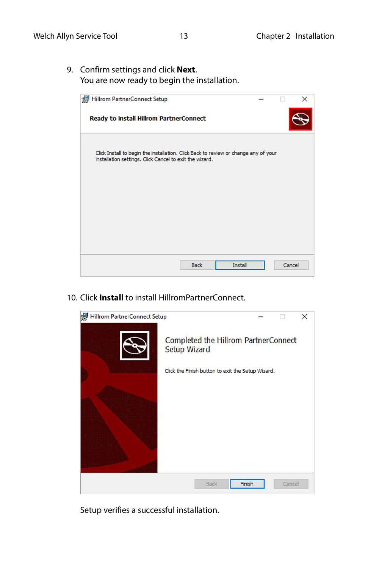9. Confirm settings and click **Next**. You are now ready to begin the installation.



10. Click **Install** to install HillromPartnerConnect.



Setup verifies a successful installation.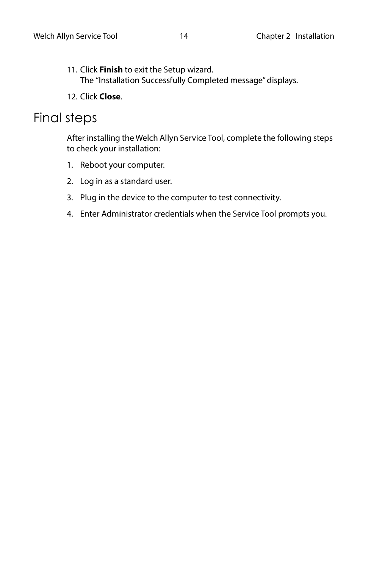- 11. Click **Finish** to exit the Setup wizard. The "Installation Successfully Completed message" displays.
- 12. Click **Close**.

#### <span id="page-18-0"></span>Final steps

After installing the Welch Allyn Service Tool, complete the following steps to check your installation:

- 1. Reboot your computer.
- 2. Log in as a standard user.
- 3. Plug in the device to the computer to test connectivity.
- 4. Enter Administrator credentials when the Service Tool prompts you.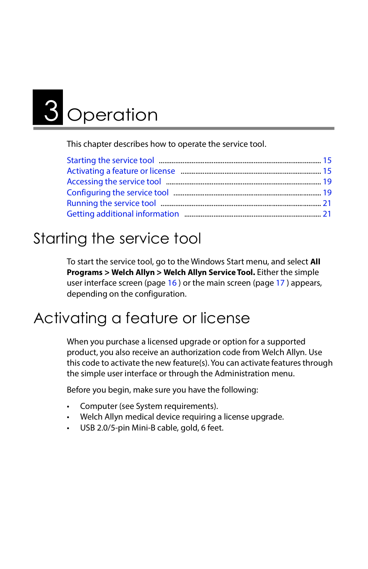# <span id="page-19-0"></span>**3** Operation

This chapter describes how to operate the service tool.

## <span id="page-19-1"></span>Starting the service tool

To start the service tool, go to the Windows Start menu, and select **All Programs > Welch Allyn > Welch Allyn Service Tool.** Either the simple user interface screen (page [16](#page-20-0) ) or the main screen (page [17](#page-21-0) ) appears, depending on the configuration.

## <span id="page-19-2"></span>Activating a feature or license

When you purchase a licensed upgrade or option for a supported product, you also receive an authorization code from Welch Allyn. Use this code to activate the new feature(s). You can activate features through the simple user interface or through the Administration menu.

Before you begin, make sure you have the following:

- Computer (see System requirements).
- Welch Allyn medical device requiring a license upgrade.
- USB 2.0/5-pin Mini-B cable, gold, 6 feet.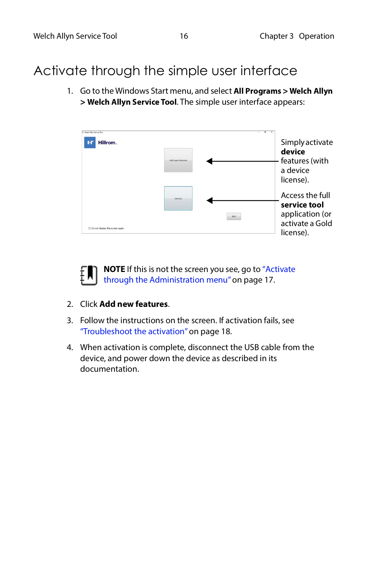#### <span id="page-20-0"></span>Activate through the simple user interface

1. Go to the Windows Start menu, and select **All Programs > Welch Allyn > Welch Allyn Service Tool**. The simple user interface appears:



**NOTE** If this is not the screen you see, go to ["Activate](#page-21-0)  [through the Administration menu" on page 17](#page-21-0).

- 2. Click **Add new features**.
- 3. Follow the instructions on the screen. If activation fails, see ["Troubleshoot the activation" on page 18.](#page-22-0)
- 4. When activation is complete, disconnect the USB cable from the device, and power down the device as described in its documentation.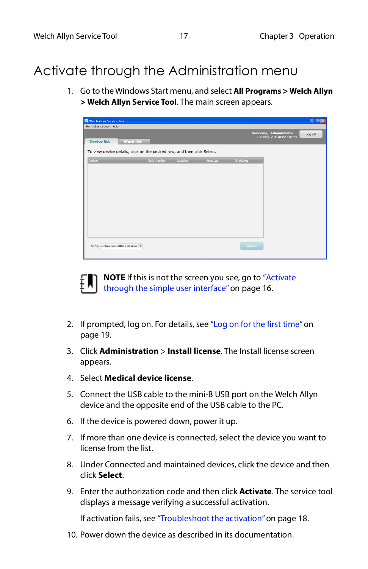#### <span id="page-21-0"></span>Activate through the Administration menu

1. Go to the Windows Start menu, and select **All Programs > Welch Allyn > Welch Allyn Service Tool**. The main screen appears.





**NOTE** If this is not the screen you see, go to ["Activate](#page-20-0)  [through the simple user interface" on page 16](#page-20-0).

- 2. If prompted, log on. For details, see ["Log on for the first time" on](#page-23-1)  [page 19](#page-23-1).
- 3. Click **Administration** > **Install license**. The Install license screen appears.
- 4. Select **Medical device license**.
- 5. Connect the USB cable to the mini-B USB port on the Welch Allyn device and the opposite end of the USB cable to the PC.
- 6. If the device is powered down, power it up.
- 7. If more than one device is connected, select the device you want to license from the list.
- 8. Under Connected and maintained devices, click the device and then click **Select**.
- 9. Enter the authorization code and then click **Activate**. The service tool displays a message verifying a successful activation.

If activation fails, see ["Troubleshoot the activation" on page 18.](#page-22-0)

10. Power down the device as described in its documentation.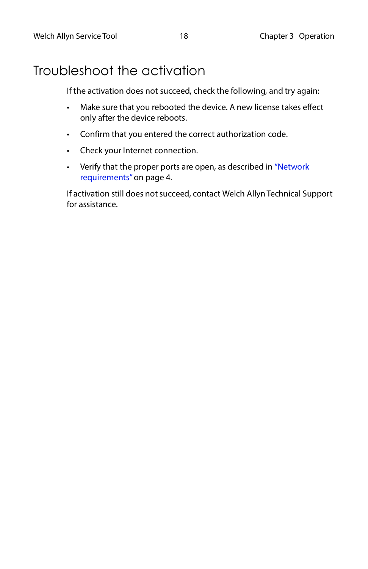### <span id="page-22-0"></span>Troubleshoot the activation

If the activation does not succeed, check the following, and try again:

- Make sure that you rebooted the device. A new license takes effect only after the device reboots.
- Confirm that you entered the correct authorization code.
- Check your Internet connection.
- Verify that the proper ports are open, as described in ["Network](#page-8-2)  [requirements" on page 4](#page-8-2).

If activation still does not succeed, contact Welch Allyn Technical Support for assistance.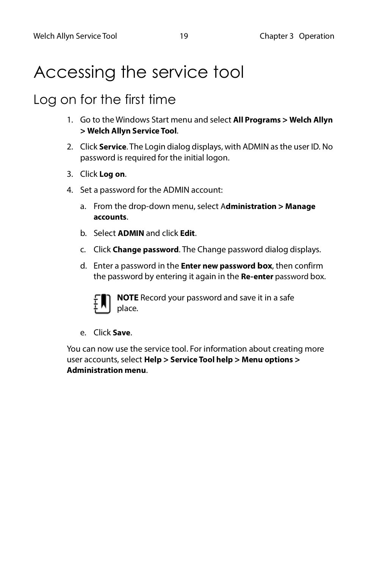## <span id="page-23-0"></span>Accessing the service tool

#### <span id="page-23-1"></span>Log on for the first time

- 1. Go to the Windows Start menu and select **All Programs > Welch Allyn > Welch Allyn Service Tool**.
- 2. Click **Service**. The Login dialog displays, with ADMIN as the user ID. No password is required for the initial logon.
- 3. Click **Log on**.
- 4. Set a password for the ADMIN account:
	- a. From the drop-down menu, select A**dministration > Manage accounts**.
	- b. Select **ADMIN** and click **Edit**.
	- c. Click **Change password**. The Change password dialog displays.
	- d. Enter a password in the **Enter new password box**, then confirm the password by entering it again in the **Re-enter** password box.



**NOTE** Record your password and save it in a safe place.

e. Click **Save**.

You can now use the service tool. For information about creating more user accounts, select **Help > Service Tool help > Menu options > Administration menu**.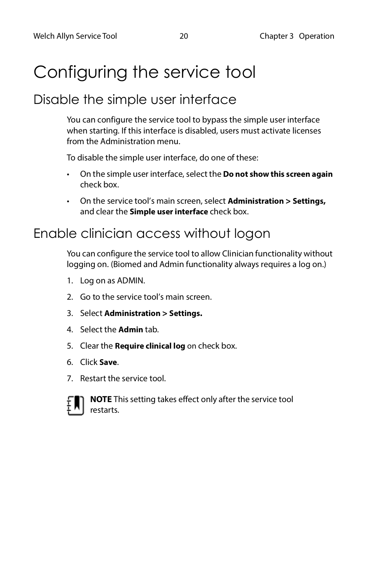## <span id="page-24-0"></span>Configuring the service tool

#### <span id="page-24-1"></span>Disable the simple user interface

You can configure the service tool to bypass the simple user interface when starting. If this interface is disabled, users must activate licenses from the Administration menu.

To disable the simple user interface, do one of these:

- On the simple user interface, select the **Do not show this screen again** check box.
- On the service tool's main screen, select **Administration > Settings,** and clear the **Simple user interface** check box.

#### <span id="page-24-2"></span>Enable clinician access without logon

You can configure the service tool to allow Clinician functionality without logging on. (Biomed and Admin functionality always requires a log on.)

- 1. Log on as ADMIN.
- 2. Go to the service tool's main screen.
- 3. Select **Administration > Settings.**
- 4. Select the **Admin** tab.
- 5. Clear the **Require clinical log** on check box.
- 6. Click **Save**.
- 7. Restart the service tool.



**NOTE** This setting takes effect only after the service tool restarts.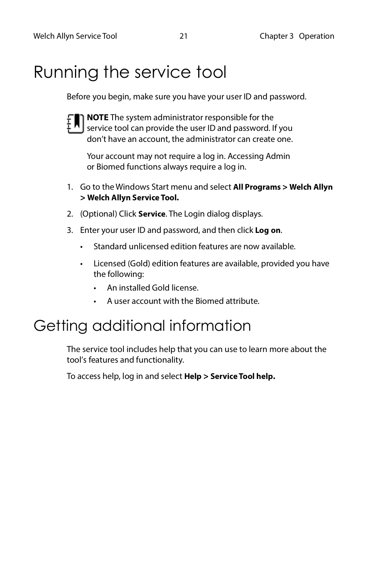## <span id="page-25-0"></span>Running the service tool

Before you begin, make sure you have your user ID and password.



**NOTE** The system administrator responsible for the service tool can provide the user ID and password. If you don't have an account, the administrator can create one.

Your account may not require a log in. Accessing Admin or Biomed functions always require a log in.

- 1. Go to the Windows Start menu and select **All Programs > Welch Allyn > Welch Allyn Service Tool.**
- 2. (Optional) Click **Service**. The Login dialog displays.
- 3. Enter your user ID and password, and then click **Log on**.
	- Standard unlicensed edition features are now available.
	- Licensed (Gold) edition features are available, provided you have the following:
		- An installed Gold license.
		- A user account with the Biomed attribute.

## <span id="page-25-1"></span>Getting additional information

The service tool includes help that you can use to learn more about the tool's features and functionality.

To access help, log in and select **Help > Service Tool help.**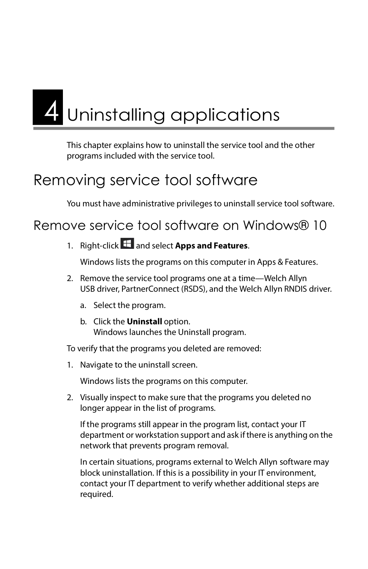# <span id="page-26-0"></span>4 Uninstalling applications

This chapter explains how to uninstall the service tool and the other programs included with the service tool.

## <span id="page-26-1"></span>Removing service tool software

You must have administrative privileges to uninstall service tool software.

<span id="page-26-2"></span>Remove service tool software on Windows® 10

1. Right-click **the and select Apps and Features.** 

Windows lists the programs on this computer in Apps & Features.

- 2. Remove the service tool programs one at a time—Welch Allyn USB driver, PartnerConnect (RSDS), and the Welch Allyn RNDIS driver.
	- a. Select the program.
	- b. Click the **Uninstall** option. Windows launches the Uninstall program.

To verify that the programs you deleted are removed:

1. Navigate to the uninstall screen.

Windows lists the programs on this computer.

2. Visually inspect to make sure that the programs you deleted no longer appear in the list of programs.

If the programs still appear in the program list, contact your IT department or workstation support and ask if there is anything on the network that prevents program removal.

In certain situations, programs external to Welch Allyn software may block uninstallation. If this is a possibility in your IT environment, contact your IT department to verify whether additional steps are required.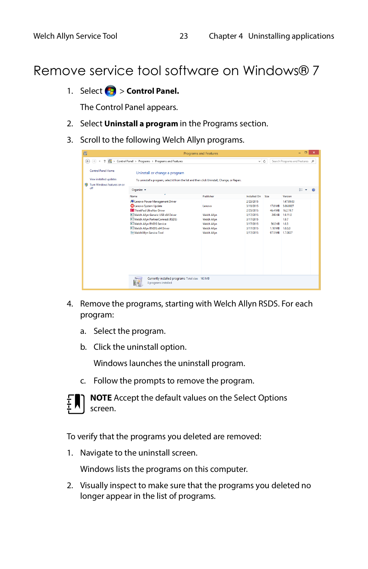#### <span id="page-27-0"></span>Remove service tool software on Windows® 7

1. Select **<sup>12</sup>** > **Control Panel.** 

The Control Panel appears.

- 2. Select **Uninstall a program** in the Programs section.
- 3. Scroll to the following Welch Allyn programs.

| 画                                                   | <b>Programs and Features</b> |                                                                                                                                                                                                                                                                      |                                                 |                                                                                                                      |                                                                                                      |                                                                               |                                                                               | $\Box$ | × |
|-----------------------------------------------------|------------------------------|----------------------------------------------------------------------------------------------------------------------------------------------------------------------------------------------------------------------------------------------------------------------|-------------------------------------------------|----------------------------------------------------------------------------------------------------------------------|------------------------------------------------------------------------------------------------------|-------------------------------------------------------------------------------|-------------------------------------------------------------------------------|--------|---|
| ⊛<br>$\leftrightarrow$                              |                              | E > Control Panel > Programs > Programs and Features                                                                                                                                                                                                                 |                                                 |                                                                                                                      | $\vee$ 0                                                                                             |                                                                               | Search Programs and Features p                                                |        |   |
| <b>Control Panel Home</b><br>View installed updates | Turn Windows features on or  | Uninstall or change a program                                                                                                                                                                                                                                        |                                                 | To uninstall a program, select it from the list and then click Uninstall, Change, or Repair.                         |                                                                                                      |                                                                               |                                                                               |        |   |
| off                                                 |                              | Organize +                                                                                                                                                                                                                                                           |                                                 |                                                                                                                      |                                                                                                      |                                                                               |                                                                               | 800    |   |
|                                                     | Name                         | ٠                                                                                                                                                                                                                                                                    |                                                 | Publisher                                                                                                            | Installed On                                                                                         | Size                                                                          | Version                                                                       |        |   |
|                                                     |                              | Lenovo Power Management Driver<br>C Lenovo System Update<br><b>MI ThinkPad UltraNav Driver</b><br>Welch Allyn Generic USB x64 Driver<br>Welch Allyn PartnerConnect (RSDS)<br>Welch Allyn RNDIS Service<br>Welch Allyn RNDIS x64 Driver<br>SH WelchAllyn Service Tool |                                                 | Lenovo<br><b>Welch Allyn</b><br><b>Welch Allyn</b><br><b>Welch Allyn</b><br><b>Welch Allyn</b><br><b>Welch Allyn</b> | 2/23/2015<br>3/18/2015<br>2/23/2015<br>3/17/2015<br>3/17/2015<br>3/17/2015<br>3/17/2015<br>3/17/2015 | 17.8 MB<br>46.4 MB<br><b>249 KB</b><br>56.0 KB<br>1.10 MB<br>97.5 MB 1.7.0027 | 1.67.09.03<br>5.06.0027<br>16,2,19,7<br>1.9.11.0<br>1.9.7<br>1.0.3<br>1.0.0.0 |        |   |
|                                                     |                              | 8 programs installed                                                                                                                                                                                                                                                 | Currently installed programs Total size: 163 MB |                                                                                                                      |                                                                                                      |                                                                               |                                                                               |        |   |

- 4. Remove the programs, starting with Welch Allyn RSDS. For each program:
	- a. Select the program.
	- b. Click the uninstall option.

Windows launches the uninstall program.

c. Follow the prompts to remove the program.



**NOTE** Accept the default values on the Select Options screen.

To verify that the programs you deleted are removed:

1. Navigate to the uninstall screen.

Windows lists the programs on this computer.

2. Visually inspect to make sure that the programs you deleted no longer appear in the list of programs.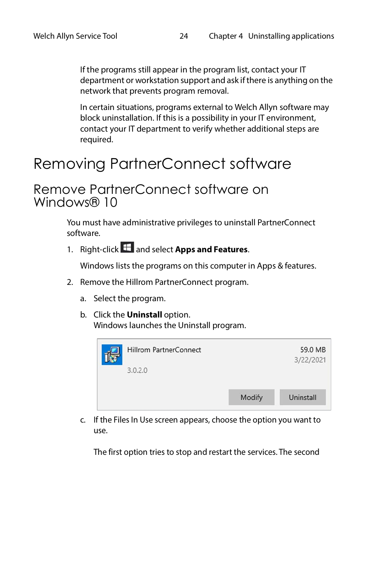If the programs still appear in the program list, contact your IT department or workstation support and ask if there is anything on the network that prevents program removal.

In certain situations, programs external to Welch Allyn software may block uninstallation. If this is a possibility in your IT environment, contact your IT department to verify whether additional steps are required.

## <span id="page-28-0"></span>Removing PartnerConnect software

#### <span id="page-28-1"></span>Remove PartnerConnect software on Windows® 10

You must have administrative privileges to uninstall PartnerConnect software.

1. Right-click **the and select Apps and Features.** 

Windows lists the programs on this computer in Apps & features.

- 2. Remove the Hillrom PartnerConnect program.
	- a. Select the program.
	- b. Click the **Uninstall** option. Windows launches the Uninstall program.



c. If the Files In Use screen appears, choose the option you want to use.

The first option tries to stop and restart the services. The second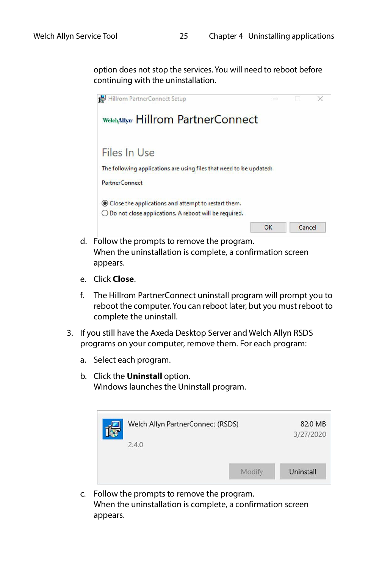option does not stop the services. You will need to reboot before continuing with the uninstallation.



- d. Follow the prompts to remove the program. When the uninstallation is complete, a confirmation screen appears.
- e. Click **Close**.
- f. The Hillrom PartnerConnect uninstall program will prompt you to reboot the computer. You can reboot later, but you must reboot to complete the uninstall.
- 3. If you still have the Axeda Desktop Server and Welch Allyn RSDS programs on your computer, remove them. For each program:
	- a. Select each program.
	- b. Click the **Uninstall** option. Windows launches the Uninstall program.

| Welch Allyn PartnerConnect (RSDS) |        | 82.0 MB<br>3/27/2020 |
|-----------------------------------|--------|----------------------|
| 2.4.0                             |        |                      |
|                                   | Modify | Uninstall            |

c. Follow the prompts to remove the program. When the uninstallation is complete, a confirmation screen appears.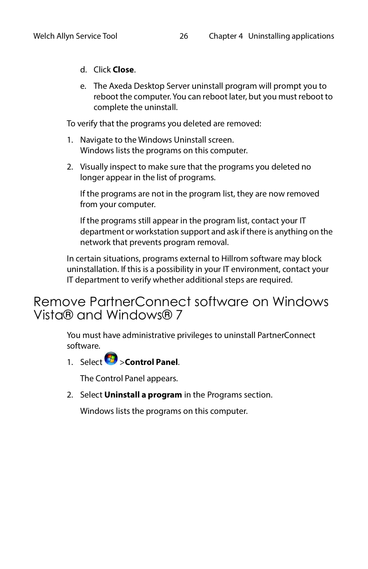- d. Click **Close**.
- e. The Axeda Desktop Server uninstall program will prompt you to reboot the computer. You can reboot later, but you must reboot to complete the uninstall.

To verify that the programs you deleted are removed:

- 1. Navigate to the Windows Uninstall screen. Windows lists the programs on this computer.
- 2. Visually inspect to make sure that the programs you deleted no longer appear in the list of programs.

If the programs are not in the program list, they are now removed from your computer.

If the programs still appear in the program list, contact your IT department or workstation support and ask if there is anything on the network that prevents program removal.

In certain situations, programs external to Hillrom software may block uninstallation. If this is a possibility in your IT environment, contact your IT department to verify whether additional steps are required.

#### <span id="page-30-0"></span>Remove PartnerConnect software on Windows Vista® and Windows® 7

You must have administrative privileges to uninstall PartnerConnect software.

1. Select >**Control Panel**.

The Control Panel appears.

2. Select **Uninstall a program** in the Programs section.

Windows lists the programs on this computer.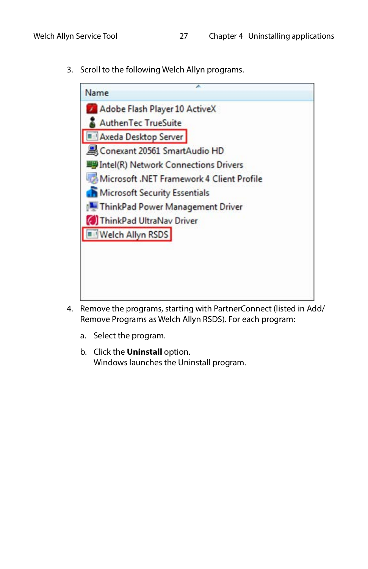3. Scroll to the following Welch Allyn programs.



- 4. Remove the programs, starting with PartnerConnect (listed in Add/ Remove Programs as Welch Allyn RSDS). For each program:
	- a. Select the program.
	- b. Click the **Uninstall** option. Windows launches the Uninstall program.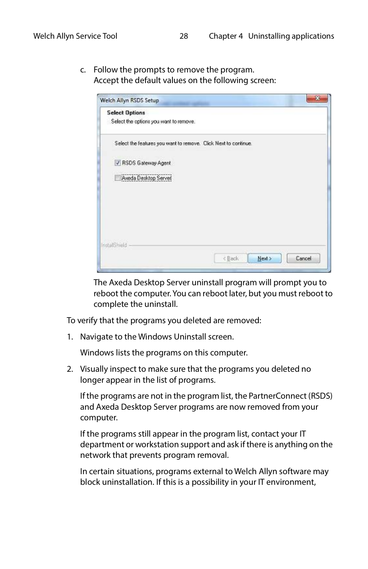c. Follow the prompts to remove the program. Accept the default values on the following screen:

| <b>Select Options</b> |                                        |                                                                 |        |        |
|-----------------------|----------------------------------------|-----------------------------------------------------------------|--------|--------|
|                       | Select the options you want to remove. |                                                                 |        |        |
|                       |                                        | Select the features you want to remove. Click Next to continue. |        |        |
|                       | PSDS Gateway Agent                     |                                                                 |        |        |
|                       | Aweda Desktop Server                   |                                                                 |        |        |
|                       |                                        |                                                                 |        |        |
|                       |                                        |                                                                 |        |        |
|                       |                                        |                                                                 |        |        |
| nstalShield           |                                        |                                                                 |        |        |
|                       |                                        | <back< td=""><td>Next &gt;</td><td>Cancel</td></back<>          | Next > | Cancel |

The Axeda Desktop Server uninstall program will prompt you to reboot the computer. You can reboot later, but you must reboot to complete the uninstall.

To verify that the programs you deleted are removed:

1. Navigate to the Windows Uninstall screen.

Windows lists the programs on this computer.

2. Visually inspect to make sure that the programs you deleted no longer appear in the list of programs.

If the programs are not in the program list, the PartnerConnect (RSDS) and Axeda Desktop Server programs are now removed from your computer.

If the programs still appear in the program list, contact your IT department or workstation support and ask if there is anything on the network that prevents program removal.

In certain situations, programs external to Welch Allyn software may block uninstallation. If this is a possibility in your IT environment,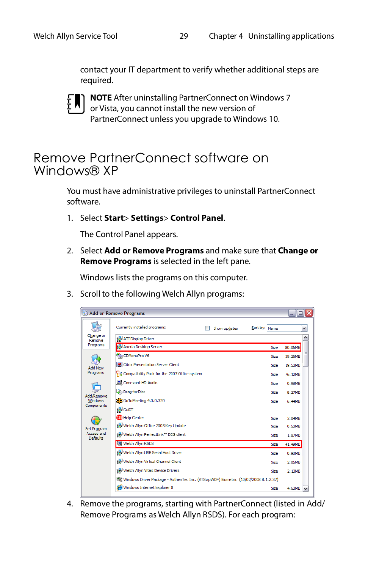contact your IT department to verify whether additional steps are required.



**NOTE** After uninstalling PartnerConnect on Windows 7 or Vista, you cannot install the new version of PartnerConnect unless you upgrade to Windows 10.

#### <span id="page-33-0"></span>Remove PartnerConnect software on Windows® XP

You must have administrative privileges to uninstall PartnerConnect software.

1. Select **Start**> **Settings**> **Control Panel**.

The Control Panel appears.

2. Select **Add or Remove Programs** and make sure that **Change or Remove Programs** is selected in the left pane.

Windows lists the programs on this computer.

3. Scroll to the following Welch Allyn programs:

|                               | Add or Remove Programs                                                             |               | - 101                              |
|-------------------------------|------------------------------------------------------------------------------------|---------------|------------------------------------|
|                               | Currently installed programs:<br>Show updates                                      | Sort by: Name | v                                  |
| Change or<br>Remove           | ATI Display Driver                                                                 |               |                                    |
| Programs                      | Axeda Desktop Server                                                               | <b>Size</b>   | 80.06MB                            |
| <b>Add New</b>                | CDMenuPro V6                                                                       | <b>Size</b>   | 39.36MB                            |
|                               | Citrix Presentation Server Client                                                  | <b>Size</b>   | 19.53MB                            |
| Programs                      | Compatibility Pack for the 2007 Office system                                      | <b>Size</b>   | 76.12MB                            |
| Add/Remove<br>Windows         | Conexant HD Audio                                                                  | <b>Size</b>   | 0.98MB                             |
|                               | Drag-to-Disc                                                                       | <b>Size</b>   | 8.27MB                             |
|                               | 88 GoToMeeting 4.0.0.320                                                           | <b>Size</b>   | 6.44MB                             |
| Components                    | <b>GuiXT</b>                                                                       |               |                                    |
| <b>Set Program</b>            | <b>B</b> Help Center                                                               | Size          | 2.04MB                             |
|                               | Welch Allyn Office 2003 Key Update                                                 | Size          | 0.53MB                             |
| Access and<br><b>Defaults</b> | te Welch Allyn PerfectLink™ ECG client                                             | Size          | 1.87MB                             |
|                               | <sup>如</sup> Welch Allyn RSDS                                                      | Size          | 41.49MB                            |
|                               | Welch Allyn USB Serial Host Driver                                                 | <b>Size</b>   | 0.90MB                             |
|                               | Welch Allyn Virtual Channel Client                                                 | <b>Size</b>   | 2.05MB                             |
|                               | Welch Allyn Vitals Device Drivers                                                  | Size          | 2.13MB                             |
|                               | Windows Driver Package - AuthenTec Inc. (ATSwpWDF) Biometric (10/02/2008 8.1.2.37) |               |                                    |
|                               | Windows Internet Explorer 8                                                        | <b>Size</b>   | 4.63MB<br>$\overline{\phantom{a}}$ |
|                               |                                                                                    |               |                                    |

4. Remove the programs, starting with PartnerConnect (listed in Add/ Remove Programs as Welch Allyn RSDS). For each program: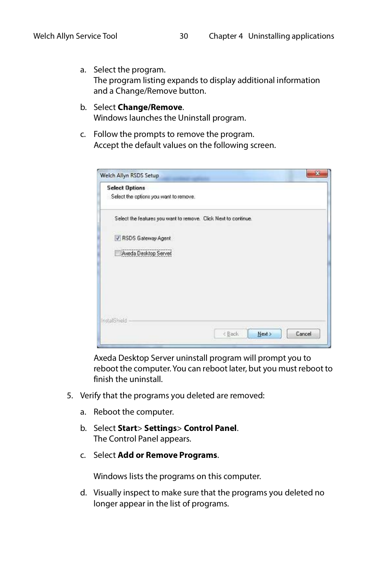a. Select the program. The program listing expands to display additional information and a Change/Remove button.

#### b. Select **Change/Remove**.

Windows launches the Uninstall program.

c. Follow the prompts to remove the program. Accept the default values on the following screen.

| <b>Select Options</b> |                                                                 |                                                        |        |        |
|-----------------------|-----------------------------------------------------------------|--------------------------------------------------------|--------|--------|
|                       | Select the options you want to remove.                          |                                                        |        |        |
|                       | Select the features you want to remove. Click Next to continue. |                                                        |        |        |
|                       | V RSDS Gateway Agent                                            |                                                        |        |        |
|                       | Aweda Desktop Server                                            |                                                        |        |        |
|                       |                                                                 |                                                        |        |        |
|                       |                                                                 |                                                        |        |        |
|                       |                                                                 |                                                        |        |        |
| nstalShield           |                                                                 |                                                        |        |        |
|                       |                                                                 | <back< td=""><td>Next &gt;</td><td>Cancel</td></back<> | Next > | Cancel |

Axeda Desktop Server uninstall program will prompt you to reboot the computer. You can reboot later, but you must reboot to finish the uninstall.

- 5. Verify that the programs you deleted are removed:
	- a. Reboot the computer.
	- b. Select **Start**> **Settings**> **Control Panel**. The Control Panel appears.
	- c. Select **Add or Remove Programs**.

Windows lists the programs on this computer.

d. Visually inspect to make sure that the programs you deleted no longer appear in the list of programs.